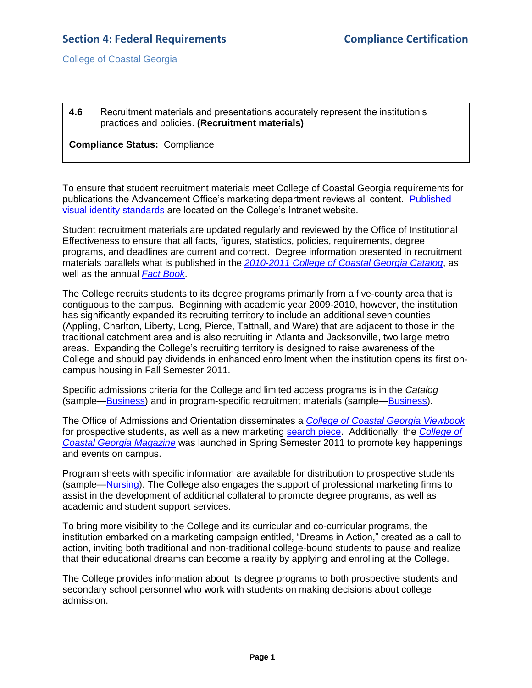College of Coastal Georgia

## **4.6** Recruitment materials and presentations accurately represent the institution's practices and policies. **(Recruitment materials)**

**Compliance Status:** Compliance

To ensure that student recruitment materials meet College of Coastal Georgia requirements for publications the Advancement Office's marketing department reviews all content. [Published](4.6.aIdentityStandards.pdf#page=1)  [visual identity standards](4.6.aIdentityStandards.pdf#page=1) are located on the College's Intranet website.

Student recruitment materials are updated regularly and reviewed by the Office of Institutional Effectiveness to ensure that all facts, figures, statistics, policies, requirements, degree programs, and deadlines are current and correct. Degree information presented in recruitment materials parallels what is published in the *[2010-2011 College of Coastal Georgia Catalog](CCGAcatalog.pdf#page=54)*, as well as the annual *[Fact Book](CCGAfactbook.pdf#page=1)*.

The College recruits students to its degree programs primarily from a five-county area that is contiguous to the campus. Beginning with academic year 2009-2010, however, the institution has significantly expanded its recruiting territory to include an additional seven counties (Appling, Charlton, Liberty, Long, Pierce, Tattnall, and Ware) that are adjacent to those in the traditional catchment area and is also recruiting in Atlanta and Jacksonville, two large metro areas. Expanding the College's recruiting territory is designed to raise awareness of the College and should pay dividends in enhanced enrollment when the institution opens its first oncampus housing in Fall Semester 2011.

Specific admissions criteria for the College and limited access programs is in the *Catalog* (sample[—Business\)](CCGAcatalog.pdf#page=66) and in program-specific recruitment materials (sample[—Business\)](4.6.dBusinessOnesheet.pdf#page=2).

The Office of Admissions and Orientation disseminates a *[College of Coastal Georgia](4.6.eViewbook.pdf#page=1) Viewbook* for prospective students, as well as a new marketing [search piece.](4.6.fSearchPiece.pdf#page=1) Additionally, the *[College of](4.6.gMagazine.pdf#page=1)  [Coastal Georgia Magazine](4.6.gMagazine.pdf#page=1)* was launched in Spring Semester 2011 to promote key happenings and events on campus.

Program sheets with specific information are available for distribution to prospective students (sample[—Nursing\)](4.6.hNursingOnesheet.pdf#page=1). The College also engages the support of professional marketing firms to assist in the development of additional collateral to promote degree programs, as well as academic and student support services.

To bring more visibility to the College and its curricular and co-curricular programs, the institution embarked on a marketing campaign entitled, "Dreams in Action," created as a call to action, inviting both traditional and non-traditional college-bound students to pause and realize that their educational dreams can become a reality by applying and enrolling at the College.

The College provides information about its degree programs to both prospective students and secondary school personnel who work with students on making decisions about college admission.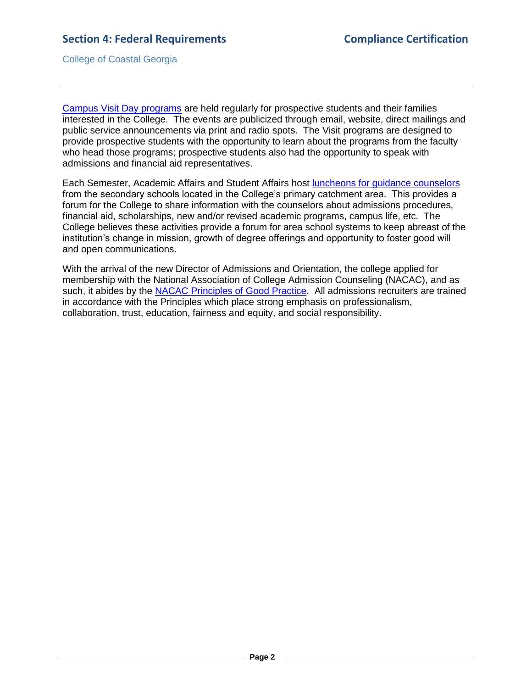College of Coastal Georgia

[Campus Visit Day](4.6.iCampusVisitDayAgenda.pdf#page=1) programs are held regularly for prospective students and their families interested in the College. The events are publicized through email, website, direct mailings and public service announcements via print and radio spots. The Visit programs are designed to provide prospective students with the opportunity to learn about the programs from the faculty who head those programs; prospective students also had the opportunity to speak with admissions and financial aid representatives.

Each Semester, Academic Affairs and Student Affairs host [luncheons for guidance counselors](4.6.jCounselorLuncheonAgenda.pdf#page=1) from the secondary schools located in the College's primary catchment area. This provides a forum for the College to share information with the counselors about admissions procedures, financial aid, scholarships, new and/or revised academic programs, campus life, etc. The College believes these activities provide a forum for area school systems to keep abreast of the institution's change in mission, growth of degree offerings and opportunity to foster good will and open communications.

With the arrival of the new Director of Admissions and Orientation, the college applied for membership with the National Association of College Admission Counseling (NACAC), and as such, it abides by the [NACAC Principles of Good Practice.](4.6.kNACACstandards.pdf#page=1) All admissions recruiters are trained in accordance with the Principles which place strong emphasis on professionalism, collaboration, trust, education, fairness and equity, and social responsibility.